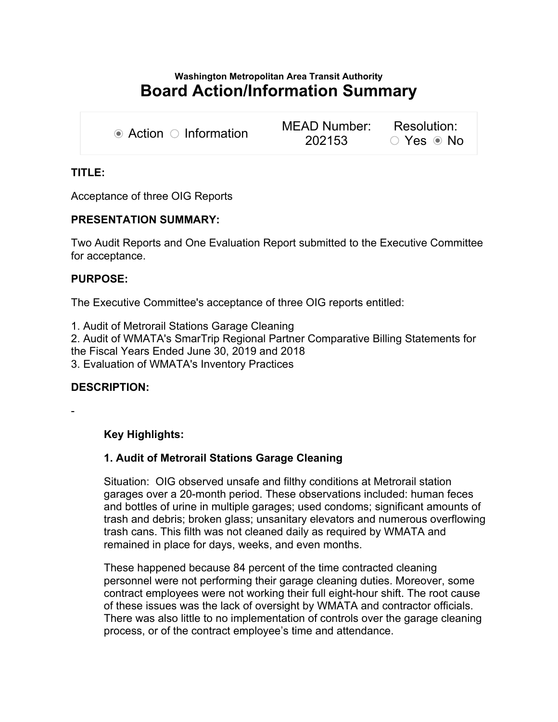# Washington Metropolitan Area Transit Authority Board Action/Information Summary

| $\bullet$ Action $\circ$ Information | MEAD Number: Resolution: |            |
|--------------------------------------|--------------------------|------------|
|                                      | 202153                   | ○ Yes ● No |

# TITLE:

Acceptance of three OIG Reports

#### PRESENTATION SUMMARY:

Two Audit Reports and One Evaluation Report submitted to the Executive Committee for acceptance.

#### PURPOSE:

The Executive Committee's acceptance of three OIG reports entitled:

1. Audit of Metrorail Stations Garage Cleaning

2. Audit of WMATA's SmarTrip Regional Partner Comparative Billing Statements for the Fiscal Years Ended June 30, 2019 and 2018

3. Evaluation of WMATA's Inventory Practices

# DESCRIPTION:

-

# Key Highlights:

# 1. Audit of Metrorail Stations Garage Cleaning

Situation: OIG observed unsafe and filthy conditions at Metrorail station garages over a 20-month period. These observations included: human feces and bottles of urine in multiple garages; used condoms; significant amounts of trash and debris; broken glass; unsanitary elevators and numerous overflowing trash cans. This filth was not cleaned daily as required by WMATA and remained in place for days, weeks, and even months.

These happened because 84 percent of the time contracted cleaning personnel were not performing their garage cleaning duties. Moreover, some contract employees were not working their full eight-hour shift. The root cause of these issues was the lack of oversight by WMATA and contractor officials. There was also little to no implementation of controls over the garage cleaning process, or of the contract employee's time and attendance.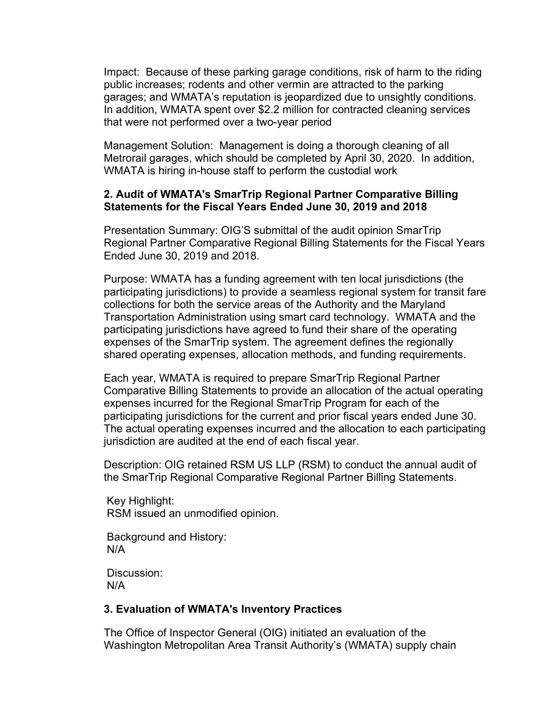Impact: Because of these parking garage conditions, risk of harm to the riding public increases; rodents and other vermin are attracted to the parking garages; and WMATA's reputation is jeopardized due to unsightly conditions. In addition, WMATA spent over \$2.2 million for contracted cleaning services that were not performed over a two-year period

Management Solution: Management is doing a thorough cleaning of all Metrorail garages, which should be completed by April 30, 2020. In addition, WMATA is hiring in-house staff to perform the custodial work

# 2. Audit of WMATA's SmarTrip Regional Partner Comparative Billing Statements for the Fiscal Years Ended June 30, 2019 and 2018

Presentation Summary: OIG'S submittal of the audit opinion SmarTrip Regional Partner Comparative Regional Billing Statements for the Fiscal Years Ended June 30, 2019 and 2018.

Purpose: WMATA has a funding agreement with ten local jurisdictions (the participating jurisdictions) to provide a seamless regional system for transit fare collections for both the service areas of the Authority and the Maryland Transportation Administration using smart card technology. WMATA and the participating jurisdictions have agreed to fund their share of the operating expenses of the SmarTrip system. The agreement defines the regionally shared operating expenses, allocation methods, and funding requirements.

Each year, WMATA is required to prepare SmarTrip Regional Partner Comparative Billing Statements to provide an allocation of the actual operating expenses incurred for the Regional SmarTrip Program for each of the participating jurisdictions for the current and prior fiscal years ended June 30. The actual operating expenses incurred and the allocation to each participating jurisdiction are audited at the end of each fiscal year.

Description: OIG retained RSM US LLP (RSM) to conduct the annual audit of the SmarTrip Regional Comparative Regional Partner Billing Statements.

 Key Highlight: RSM issued an unmodified opinion.

 Background and History: N/A

 Discussion: N/A

# 3. Evaluation of WMATA's Inventory Practices

The Office of Inspector General (OIG) initiated an evaluation of the Washington Metropolitan Area Transit Authority's (WMATA) supply chain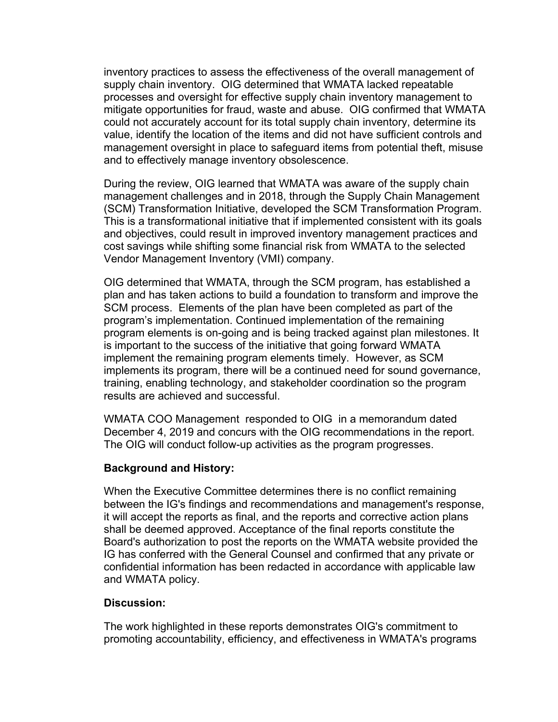inventory practices to assess the effectiveness of the overall management of supply chain inventory. OIG determined that WMATA lacked repeatable processes and oversight for effective supply chain inventory management to mitigate opportunities for fraud, waste and abuse. OIG confirmed that WMATA could not accurately account for its total supply chain inventory, determine its value, identify the location of the items and did not have sufficient controls and management oversight in place to safeguard items from potential theft, misuse and to effectively manage inventory obsolescence.

During the review, OIG learned that WMATA was aware of the supply chain management challenges and in 2018, through the Supply Chain Management (SCM) Transformation Initiative, developed the SCM Transformation Program. This is a transformational initiative that if implemented consistent with its goals and objectives, could result in improved inventory management practices and cost savings while shifting some financial risk from WMATA to the selected Vendor Management Inventory (VMI) company.

OIG determined that WMATA, through the SCM program, has established a plan and has taken actions to build a foundation to transform and improve the SCM process. Elements of the plan have been completed as part of the program's implementation. Continued implementation of the remaining program elements is on-going and is being tracked against plan milestones. It is important to the success of the initiative that going forward WMATA implement the remaining program elements timely. However, as SCM implements its program, there will be a continued need for sound governance, training, enabling technology, and stakeholder coordination so the program results are achieved and successful.

WMATA COO Management responded to OIG in a memorandum dated December 4, 2019 and concurs with the OIG recommendations in the report. The OIG will conduct follow-up activities as the program progresses.

# Background and History:

When the Executive Committee determines there is no conflict remaining between the IG's findings and recommendations and management's response, it will accept the reports as final, and the reports and corrective action plans shall be deemed approved. Acceptance of the final reports constitute the Board's authorization to post the reports on the WMATA website provided the IG has conferred with the General Counsel and confirmed that any private or confidential information has been redacted in accordance with applicable law and WMATA policy.

# Discussion:

The work highlighted in these reports demonstrates OIG's commitment to promoting accountability, efficiency, and effectiveness in WMATA's programs